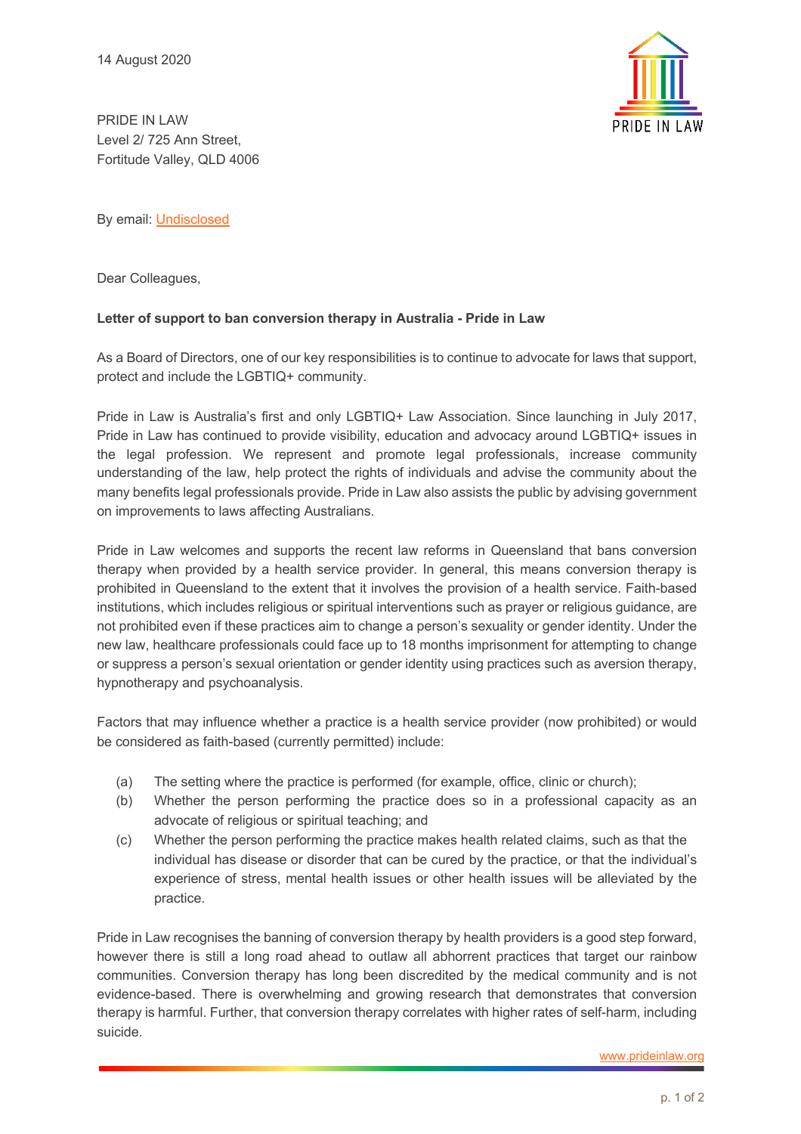

PRIDE IN LAW Level 2/ 725 Ann Street, Fortitude Valley, QLD 4006

By email: Undisclosed

Dear Colleagues,

## **Letter of support to ban conversion therapy in Australia - Pride in Law**

As a Board of Directors, one of our key responsibilities is to continue to advocate for laws that support, protect and include the LGBTIQ+ community.

Pride in Law is Australia's first and only LGBTIQ+ Law Association. Since launching in July 2017, Pride in Law has continued to provide visibility, education and advocacy around LGBTIQ+ issues in the legal profession. We represent and promote legal professionals, increase community understanding of the law, help protect the rights of individuals and advise the community about the many benefits legal professionals provide. Pride in Law also assists the public by advising government on improvements to laws affecting Australians.

Pride in Law welcomes and supports the recent law reforms in Queensland that bans conversion therapy when provided by a health service provider. In general, this means conversion therapy is prohibited in Queensland to the extent that it involves the provision of a health service. Faith-based institutions, which includes religious or spiritual interventions such as prayer or religious guidance, are not prohibited even if these practices aim to change a person's sexuality or gender identity. Under the new law, healthcare professionals could face up to 18 months imprisonment for attempting to change or suppress a person's sexual orientation or gender identity using practices such as aversion therapy, hypnotherapy and psychoanalysis.

Factors that may influence whether a practice is a health service provider (now prohibited) or would be considered as faith-based (currently permitted) include:

- (a) The setting where the practice is performed (for example, office, clinic or church);
- (b) Whether the person performing the practice does so in a professional capacity as an advocate of religious or spiritual teaching; and
- (c) Whether the person performing the practice makes health related claims, such as that the individual has disease or disorder that can be cured by the practice, or that the individual's experience of stress, mental health issues or other health issues will be alleviated by the practice.

Pride in Law recognises the banning of conversion therapy by health providers is a good step forward, however there is still a long road ahead to outlaw all abhorrent practices that target our rainbow communities. Conversion therapy has long been discredited by the medical community and is not evidence-based. There is overwhelming and growing research that demonstrates that conversion therapy is harmful. Further, that conversion therapy correlates with higher rates of self-harm, including suicide.

www.prideinlaw.org